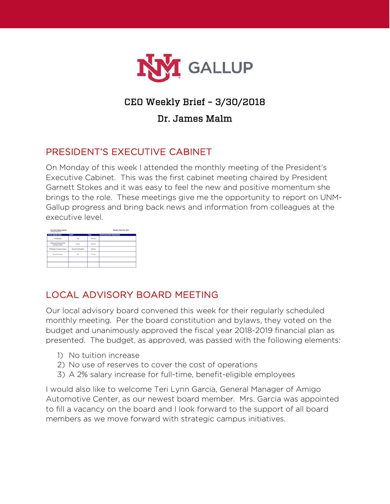

# CEO Weekly Brief – 3/30/2018

### Dr. James Malm

## PRESIDENT'S EXECUTIVE CABINET

On Monday of this week I attended the monthly meeting of the President's Executive Cabinet. This was the first cabinet meeting chaired by President Garnett Stokes and it was easy to feel the new and positive momentum she brings to the role. These meetings give me the opportunity to report on UNM-Gallup progress and bring back news and information from colleagues at the executive level.

| <b>Current Agenda Name</b>                         | <b>Leader</b>     | Time       | <b>Attachments/Next Steps/Details</b> |
|----------------------------------------------------|-------------------|------------|---------------------------------------|
| Introduction                                       | 146               | $10$ minus |                                       |
| Welcome Renturby Prizes<br><b>Prenident Stakes</b> | <b>Module</b>     | 10 mins    |                                       |
| <b>FY19 Salary increase Process.</b>               | Stevenson/Namibus | 10 Miles   |                                       |
| <b>Announcements</b>                               | u                 | 5 mins     |                                       |
|                                                    |                   |            |                                       |

## LOCAL ADVISORY BOARD MEETING

Our local advisory board convened this week for their regularly scheduled monthly meeting. Per the board constitution and bylaws, they voted on the budget and unanimously approved the fiscal year 2018-2019 financial plan as presented. The budget, as approved, was passed with the following elements:

- 1) No tuition increase
- 2) No use of reserves to cover the cost of operations
- 3) A 2% salary increase for full-time, benefit-eligible employees

I would also like to welcome Teri Lynn Garcia, General Manager of Amigo Automotive Center, as our newest board member. Mrs. Garcia was appointed to fill a vacancy on the board and I look forward to the support of all board members as we move forward with strategic campus initiatives.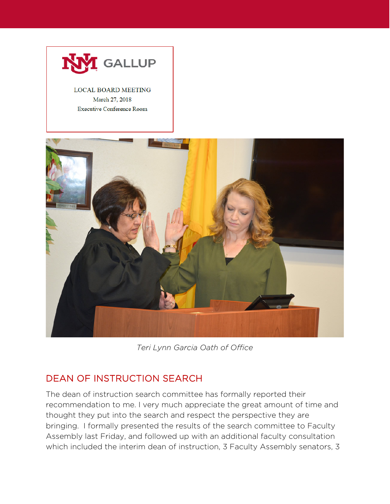

#### **LOCAL BOARD MEETING** March 27, 2018 **Executive Conference Room**



*Teri Lynn Garcia Oath of Office*

## DEAN OF INSTRUCTION SEARCH

The dean of instruction search committee has formally reported their recommendation to me. I very much appreciate the great amount of time and thought they put into the search and respect the perspective they are bringing. I formally presented the results of the search committee to Faculty Assembly last Friday, and followed up with an additional faculty consultation which included the interim dean of instruction, 3 Faculty Assembly senators, 3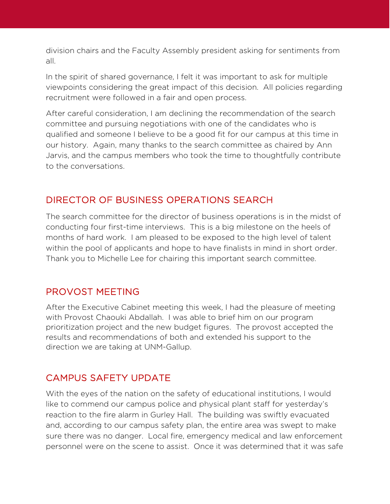division chairs and the Faculty Assembly president asking for sentiments from all.

In the spirit of shared governance, I felt it was important to ask for multiple viewpoints considering the great impact of this decision. All policies regarding recruitment were followed in a fair and open process.

After careful consideration, I am declining the recommendation of the search committee and pursuing negotiations with one of the candidates who is qualified and someone I believe to be a good fit for our campus at this time in our history. Again, many thanks to the search committee as chaired by Ann Jarvis, and the campus members who took the time to thoughtfully contribute to the conversations.

## DIRECTOR OF BUSINESS OPERATIONS SEARCH

The search committee for the director of business operations is in the midst of conducting four first-time interviews. This is a big milestone on the heels of months of hard work. I am pleased to be exposed to the high level of talent within the pool of applicants and hope to have finalists in mind in short order. Thank you to Michelle Lee for chairing this important search committee.

## PROVOST MEETING

After the Executive Cabinet meeting this week, I had the pleasure of meeting with Provost Chaouki Abdallah. I was able to brief him on our program prioritization project and the new budget figures. The provost accepted the results and recommendations of both and extended his support to the direction we are taking at UNM-Gallup.

## CAMPUS SAFETY UPDATE

With the eyes of the nation on the safety of educational institutions, I would like to commend our campus police and physical plant staff for yesterday's reaction to the fire alarm in Gurley Hall. The building was swiftly evacuated and, according to our campus safety plan, the entire area was swept to make sure there was no danger. Local fire, emergency medical and law enforcement personnel were on the scene to assist. Once it was determined that it was safe